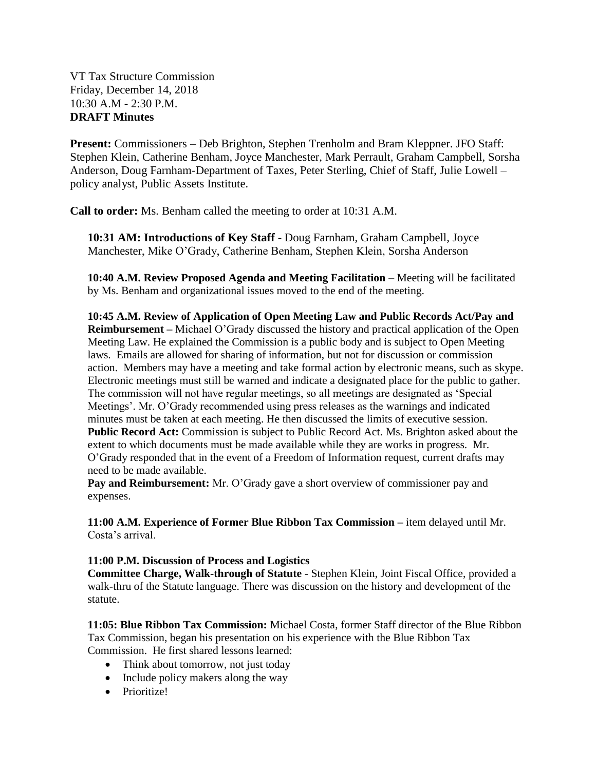VT Tax Structure Commission Friday, December 14, 2018 10:30 A.M - 2:30 P.M. **DRAFT Minutes**

**Present:** Commissioners – Deb Brighton, Stephen Trenholm and Bram Kleppner. JFO Staff: Stephen Klein, Catherine Benham, Joyce Manchester, Mark Perrault, Graham Campbell, Sorsha Anderson, Doug Farnham-Department of Taxes, Peter Sterling, Chief of Staff, Julie Lowell – policy analyst, Public Assets Institute.

**Call to order:** Ms. Benham called the meeting to order at 10:31 A.M.

**10:31 AM: Introductions of Key Staff** - Doug Farnham, Graham Campbell, Joyce Manchester, Mike O'Grady, Catherine Benham, Stephen Klein, Sorsha Anderson

**10:40 A.M. Review Proposed Agenda and Meeting Facilitation –** Meeting will be facilitated by Ms. Benham and organizational issues moved to the end of the meeting.

**10:45 A.M. Review of Application of Open Meeting Law and Public Records Act/Pay and Reimbursement –** Michael O'Grady discussed the history and practical application of the Open Meeting Law. He explained the Commission is a public body and is subject to Open Meeting laws. Emails are allowed for sharing of information, but not for discussion or commission action. Members may have a meeting and take formal action by electronic means, such as skype. Electronic meetings must still be warned and indicate a designated place for the public to gather. The commission will not have regular meetings, so all meetings are designated as 'Special Meetings'. Mr. O'Grady recommended using press releases as the warnings and indicated minutes must be taken at each meeting. He then discussed the limits of executive session. **Public Record Act:** Commission is subject to Public Record Act. Ms. Brighton asked about the extent to which documents must be made available while they are works in progress. Mr. O'Grady responded that in the event of a Freedom of Information request, current drafts may need to be made available.

**Pay and Reimbursement:** Mr. O'Grady gave a short overview of commissioner pay and expenses.

**11:00 A.M. Experience of Former Blue Ribbon Tax Commission –** item delayed until Mr. Costa's arrival.

## **11:00 P.M. Discussion of Process and Logistics**

**Committee Charge, Walk-through of Statute** - Stephen Klein, Joint Fiscal Office, provided a walk-thru of the Statute language. There was discussion on the history and development of the statute.

**11:05: Blue Ribbon Tax Commission:** Michael Costa, former Staff director of the Blue Ribbon Tax Commission, began his presentation on his experience with the Blue Ribbon Tax Commission. He first shared lessons learned:

- Think about tomorrow, not just today
- Include policy makers along the way
- Prioritize!